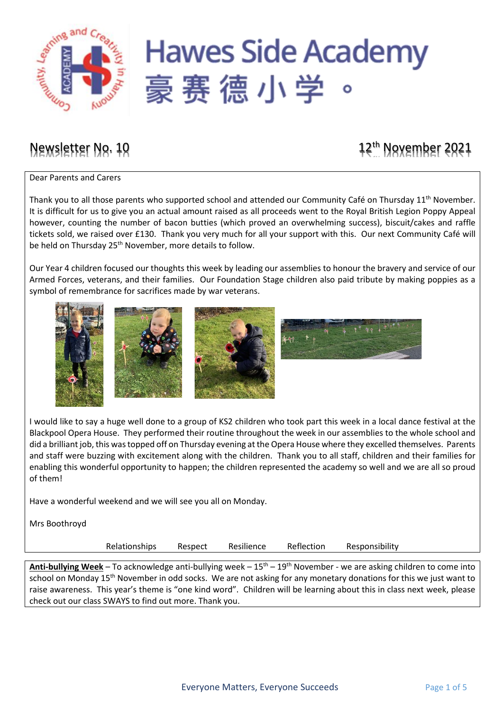

# Newsletter No. 10 12<sup>th</sup> November 2021

Dear Parents and Carers

Thank you to all those parents who supported school and attended our Community Café on Thursday 11<sup>th</sup> November. It is difficult for us to give you an actual amount raised as all proceeds went to the Royal British Legion Poppy Appeal however, counting the number of bacon butties (which proved an overwhelming success), biscuit/cakes and raffle tickets sold, we raised over £130. Thank you very much for all your support with this. Our next Community Café will be held on Thursday 25<sup>th</sup> November, more details to follow.

Our Year 4 children focused our thoughts this week by leading our assemblies to honour the bravery and service of our Armed Forces, veterans, and their families. Our Foundation Stage children also paid tribute by making poppies as a symbol of remembrance for sacrifices made by war veterans.



I would like to say a huge well done to a group of KS2 children who took part this week in a local dance festival at the Blackpool Opera House. They performed their routine throughout the week in our assemblies to the whole school and did a brilliant job, this wastopped off on Thursday evening at the Opera House where they excelled themselves. Parents and staff were buzzing with excitement along with the children. Thank you to all staff, children and their families for enabling this wonderful opportunity to happen; the children represented the academy so well and we are all so proud of them!

Have a wonderful weekend and we will see you all on Monday.

Mrs Boothroyd

Relationships Respect Resilience Reflection Responsibility

Anti-bullying Week – To acknowledge anti-bullying week – 15<sup>th</sup> – 19<sup>th</sup> November - we are asking children to come into school on Monday 15<sup>th</sup> November in odd socks. We are not asking for any monetary donations for this we just want to raise awareness. This year's theme is "one kind word". Children will be learning about this in class next week, please check out our class SWAYS to find out more. Thank you.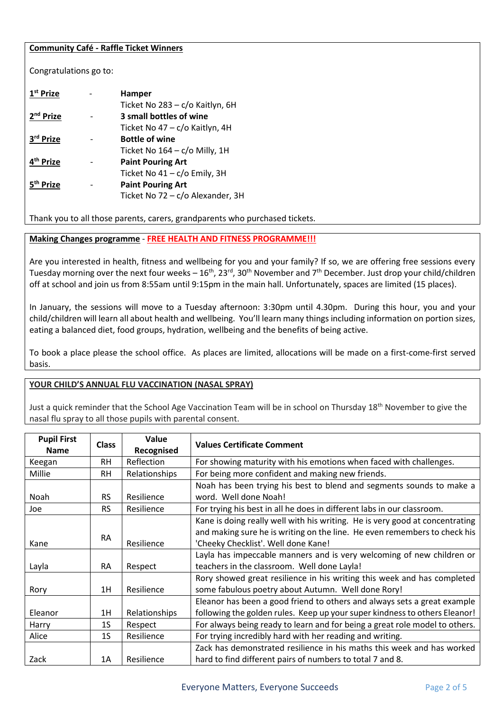#### **Community Café - Raffle Ticket Winners**

Congratulations go to:

| $1st$ Prize           | <b>Hamper</b>                    |
|-----------------------|----------------------------------|
|                       | Ticket No 283 - c/o Kaitlyn, 6H  |
| 2 <sup>nd</sup> Prize | 3 small bottles of wine          |
|                       | Ticket No 47 - c/o Kaitlyn, 4H   |
| 3rd Prize             | <b>Bottle of wine</b>            |
|                       | Ticket No 164 - c/o Milly, 1H    |
| 4 <sup>th</sup> Prize | <b>Paint Pouring Art</b>         |
|                       | Ticket No 41 - c/o Emily, 3H     |
| Prize                 | <b>Paint Pouring Art</b>         |
|                       | Ticket No 72 - c/o Alexander, 3H |
|                       |                                  |

Thank you to all those parents, carers, grandparents who purchased tickets.

## **Making Changes programme** - **FREE HEALTH AND FITNESS PROGRAMME!!!**

Are you interested in health, fitness and wellbeing for you and your family? If so, we are offering free sessions every Tuesday morning over the next four weeks –  $16^{th}$ ,  $23^{rd}$ ,  $30^{th}$  November and  $7^{th}$  December. Just drop your child/children off at school and join us from 8:55am until 9:15pm in the main hall. Unfortunately, spaces are limited (15 places).

In January, the sessions will move to a Tuesday afternoon: 3:30pm until 4.30pm. During this hour, you and your child/children will learn all about health and wellbeing. You'll learn many things including information on portion sizes, eating a balanced diet, food groups, hydration, wellbeing and the benefits of being active.

To book a place please the school office. As places are limited, allocations will be made on a first-come-first served basis.

# **YOUR CHILD'S ANNUAL FLU VACCINATION (NASAL SPRAY)**

Just a quick reminder that the School Age Vaccination Team will be in school on Thursday 18<sup>th</sup> November to give the nasal flu spray to all those pupils with parental consent.

| <b>Pupil First</b><br><b>Name</b> | <b>Class</b> | Value<br>Recognised | <b>Values Certificate Comment</b>                                                                                                                                                                |  |  |
|-----------------------------------|--------------|---------------------|--------------------------------------------------------------------------------------------------------------------------------------------------------------------------------------------------|--|--|
| Keegan                            | <b>RH</b>    | Reflection          | For showing maturity with his emotions when faced with challenges.                                                                                                                               |  |  |
| Millie                            | RH.          | Relationships       | For being more confident and making new friends.                                                                                                                                                 |  |  |
| Noah                              | <b>RS</b>    | Resilience          | Noah has been trying his best to blend and segments sounds to make a<br>word. Well done Noah!                                                                                                    |  |  |
| Joe                               | <b>RS</b>    | Resilience          | For trying his best in all he does in different labs in our classroom.                                                                                                                           |  |  |
| Kane                              | <b>RA</b>    | Resilience          | Kane is doing really well with his writing. He is very good at concentrating<br>and making sure he is writing on the line. He even remembers to check his<br>'Cheeky Checklist'. Well done Kane! |  |  |
| Layla                             | <b>RA</b>    | Respect             | Layla has impeccable manners and is very welcoming of new children or<br>teachers in the classroom. Well done Layla!                                                                             |  |  |
| Rory                              | 1H           | Resilience          | Rory showed great resilience in his writing this week and has completed<br>some fabulous poetry about Autumn. Well done Rory!                                                                    |  |  |
| Eleanor                           | 1H           | Relationships       | Eleanor has been a good friend to others and always sets a great example<br>following the golden rules. Keep up your super kindness to others Eleanor!                                           |  |  |
| Harry                             | 1S           | Respect             | For always being ready to learn and for being a great role model to others.                                                                                                                      |  |  |
| Alice                             | 1S           | Resilience          | For trying incredibly hard with her reading and writing.                                                                                                                                         |  |  |
| Zack                              | 1A           | Resilience          | Zack has demonstrated resilience in his maths this week and has worked<br>hard to find different pairs of numbers to total 7 and 8.                                                              |  |  |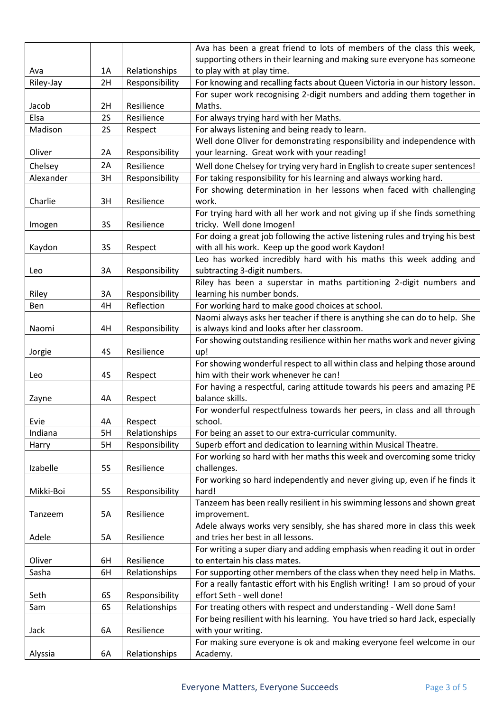|           |           |                | Ava has been a great friend to lots of members of the class this week,         |  |  |
|-----------|-----------|----------------|--------------------------------------------------------------------------------|--|--|
|           |           |                | supporting others in their learning and making sure everyone has someone       |  |  |
| Ava       | 1A        | Relationships  | to play with at play time.                                                     |  |  |
| Riley-Jay | 2H        | Responsibility | For knowing and recalling facts about Queen Victoria in our history lesson.    |  |  |
|           |           |                | For super work recognising 2-digit numbers and adding them together in         |  |  |
| Jacob     | 2H        | Resilience     | Maths.                                                                         |  |  |
| Elsa      | 2S        | Resilience     | For always trying hard with her Maths.                                         |  |  |
| Madison   | 2S        | Respect        | For always listening and being ready to learn.                                 |  |  |
|           |           |                | Well done Oliver for demonstrating responsibility and independence with        |  |  |
| Oliver    | 2A        | Responsibility | your learning. Great work with your reading!                                   |  |  |
| Chelsey   | 2A        | Resilience     | Well done Chelsey for trying very hard in English to create super sentences!   |  |  |
| Alexander | 3H        | Responsibility | For taking responsibility for his learning and always working hard.            |  |  |
|           |           |                | For showing determination in her lessons when faced with challenging           |  |  |
| Charlie   | 3H        | Resilience     | work.                                                                          |  |  |
|           |           |                | For trying hard with all her work and not giving up if she finds something     |  |  |
| Imogen    | <b>3S</b> | Resilience     | tricky. Well done Imogen!                                                      |  |  |
|           |           |                | For doing a great job following the active listening rules and trying his best |  |  |
| Kaydon    | 3S        | Respect        | with all his work. Keep up the good work Kaydon!                               |  |  |
|           |           |                | Leo has worked incredibly hard with his maths this week adding and             |  |  |
| Leo       | 3A        | Responsibility | subtracting 3-digit numbers.                                                   |  |  |
|           |           |                | Riley has been a superstar in maths partitioning 2-digit numbers and           |  |  |
| Riley     | 3A        | Responsibility | learning his number bonds.                                                     |  |  |
| Ben       | 4H        | Reflection     | For working hard to make good choices at school.                               |  |  |
|           |           |                | Naomi always asks her teacher if there is anything she can do to help. She     |  |  |
| Naomi     | 4H        | Responsibility | is always kind and looks after her classroom.                                  |  |  |
|           |           |                | For showing outstanding resilience within her maths work and never giving      |  |  |
| Jorgie    | 4S        | Resilience     | up!                                                                            |  |  |
|           |           |                | For showing wonderful respect to all within class and helping those around     |  |  |
| Leo       | 4S        | Respect        | him with their work whenever he can!                                           |  |  |
|           |           |                | For having a respectful, caring attitude towards his peers and amazing PE      |  |  |
| Zayne     | 4Α        | Respect        | balance skills.                                                                |  |  |
|           |           |                | For wonderful respectfulness towards her peers, in class and all through       |  |  |
| Evie      | 4A        | Respect        | school.                                                                        |  |  |
| Indiana   | 5H        | Relationships  | For being an asset to our extra-curricular community.                          |  |  |
| Harry     | 5H        | Responsibility | Superb effort and dedication to learning within Musical Theatre.               |  |  |
|           |           |                | For working so hard with her maths this week and overcoming some tricky        |  |  |
| Izabelle  | <b>5S</b> | Resilience     | challenges.                                                                    |  |  |
|           |           |                | For working so hard independently and never giving up, even if he finds it     |  |  |
| Mikki-Boi | <b>5S</b> | Responsibility | hard!                                                                          |  |  |
|           |           |                | Tanzeem has been really resilient in his swimming lessons and shown great      |  |  |
| Tanzeem   | 5A        | Resilience     | improvement.                                                                   |  |  |
|           |           |                | Adele always works very sensibly, she has shared more in class this week       |  |  |
| Adele     | 5A        | Resilience     | and tries her best in all lessons.                                             |  |  |
|           |           |                | For writing a super diary and adding emphasis when reading it out in order     |  |  |
| Oliver    | 6H        | Resilience     | to entertain his class mates.                                                  |  |  |
| Sasha     | 6H        | Relationships  | For supporting other members of the class when they need help in Maths.        |  |  |
|           |           |                | For a really fantastic effort with his English writing! I am so proud of your  |  |  |
| Seth      | 6S        | Responsibility | effort Seth - well done!                                                       |  |  |
| Sam       | 6S        | Relationships  | For treating others with respect and understanding - Well done Sam!            |  |  |
|           |           |                | For being resilient with his learning. You have tried so hard Jack, especially |  |  |
| Jack      | 6A        | Resilience     | with your writing.                                                             |  |  |
|           |           |                | For making sure everyone is ok and making everyone feel welcome in our         |  |  |
| Alyssia   | 6A        | Relationships  | Academy.                                                                       |  |  |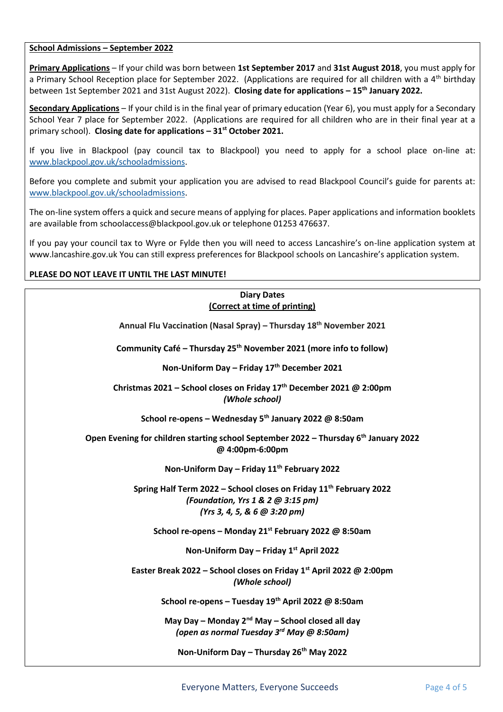#### **School Admissions – September 2022**

**Primary Applications** – If your child was born between **1st September 2017** and **31st August 2018**, you must apply for a Primary School Reception place for September 2022. (Applications are required for all children with a 4<sup>th</sup> birthday between 1st September 2021 and 31st August 2022). **Closing date for applications – 15th January 2022.**

**Secondary Applications** – If your child is in the final year of primary education (Year 6), you must apply for a Secondary School Year 7 place for September 2022. (Applications are required for all children who are in their final year at a primary school). **Closing date for applications – 31st October 2021.**

If you live in Blackpool (pay council tax to Blackpool) you need to apply for a school place on-line at: [www.blackpool.gov.uk/schooladmissions.](http://www.blackpool.gov.uk/schooladmissions)

Before you complete and submit your application you are advised to read Blackpool Council's guide for parents at: [www.blackpool.gov.uk/schooladmissions.](http://www.blackpool.gov.uk/schooladmissions)

The on-line system offers a quick and secure means of applying for places. Paper applications and information booklets are available from schoolaccess@blackpool.gov.uk or telephone 01253 476637.

If you pay your council tax to Wyre or Fylde then you will need to access Lancashire's on-line application system at www.lancashire.gov.uk You can still express preferences for Blackpool schools on Lancashire's application system.

## **PLEASE DO NOT LEAVE IT UNTIL THE LAST MINUTE!**

# **Diary Dates (Correct at time of printing)**

**Annual Flu Vaccination (Nasal Spray) – Thursday 18th November 2021**

**Community Café – Thursday 25th November 2021 (more info to follow)**

**Non-Uniform Day – Friday 17th December 2021**

**Christmas 2021 – School closes on Friday 17th December 2021 @ 2:00pm** *(Whole school)*

**School re-opens – Wednesday 5th January 2022 @ 8:50am**

**Open Evening for children starting school September 2022 – Thursday 6th January 2022 @ 4:00pm-6:00pm**

**Non-Uniform Day – Friday 11th February 2022**

**Spring Half Term 2022 – School closes on Friday 11th February 2022** *(Foundation, Yrs 1 & 2 @ 3:15 pm) (Yrs 3, 4, 5, & 6 @ 3:20 pm)*

**School re-opens – Monday 21st February 2022 @ 8:50am**

**Non-Uniform Day – Friday 1st April 2022**

**Easter Break 2022 – School closes on Friday 1st April 2022 @ 2:00pm** *(Whole school)*

**School re-opens – Tuesday 19th April 2022 @ 8:50am**

**May Day – Monday 2nd May – School closed all day** *(open as normal Tuesday 3rd May @ 8:50am)*

**Non-Uniform Day – Thursday 26th May 2022**